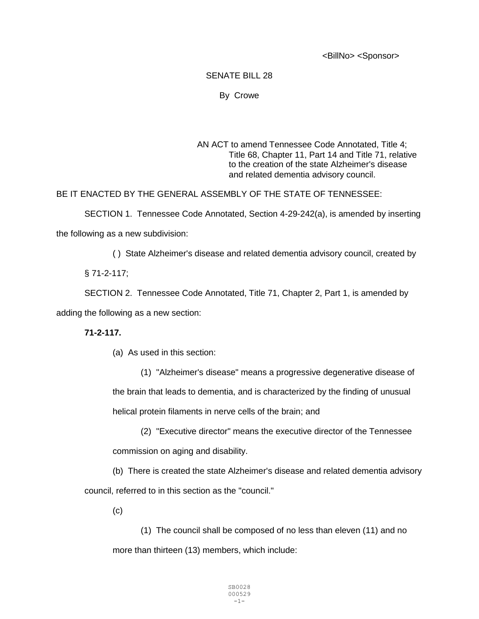<BillNo> <Sponsor>

## SENATE BILL 28

## By Crowe

AN ACT to amend Tennessee Code Annotated, Title 4; Title 68, Chapter 11, Part 14 and Title 71, relative to the creation of the state Alzheimer's disease and related dementia advisory council.

BE IT ENACTED BY THE GENERAL ASSEMBLY OF THE STATE OF TENNESSEE:

SECTION 1. Tennessee Code Annotated, Section 4-29-242(a), is amended by inserting the following as a new subdivision:

( ) State Alzheimer's disease and related dementia advisory council, created by

§ 71-2-117;

SECTION 2. Tennessee Code Annotated, Title 71, Chapter 2, Part 1, is amended by adding the following as a new section:

## **71-2-117.**

(a) As used in this section:

(1) "Alzheimer's disease" means a progressive degenerative disease of the brain that leads to dementia, and is characterized by the finding of unusual helical protein filaments in nerve cells of the brain; and

(2) "Executive director" means the executive director of the Tennessee commission on aging and disability.

(b) There is created the state Alzheimer's disease and related dementia advisory council, referred to in this section as the "council."

(c)

(1) The council shall be composed of no less than eleven (11) and no more than thirteen (13) members, which include: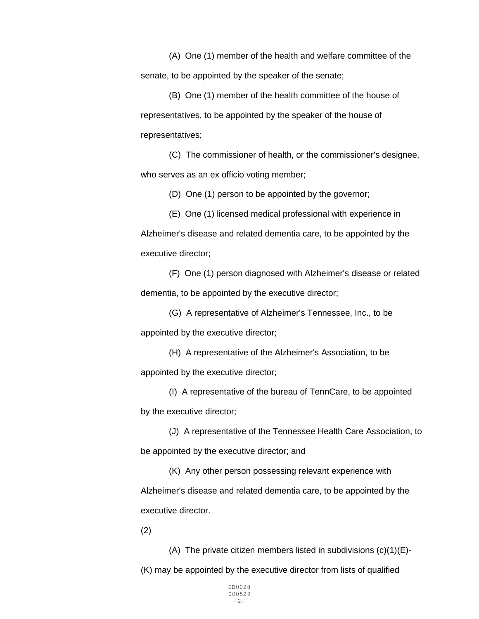(A) One (1) member of the health and welfare committee of the senate, to be appointed by the speaker of the senate;

(B) One (1) member of the health committee of the house of representatives, to be appointed by the speaker of the house of representatives;

(C) The commissioner of health, or the commissioner's designee, who serves as an ex officio voting member;

(D) One (1) person to be appointed by the governor;

(E) One (1) licensed medical professional with experience in Alzheimer's disease and related dementia care, to be appointed by the executive director;

(F) One (1) person diagnosed with Alzheimer's disease or related dementia, to be appointed by the executive director;

(G) A representative of Alzheimer's Tennessee, Inc., to be appointed by the executive director;

(H) A representative of the Alzheimer's Association, to be appointed by the executive director;

(I) A representative of the bureau of TennCare, to be appointed by the executive director;

(J) A representative of the Tennessee Health Care Association, to be appointed by the executive director; and

(K) Any other person possessing relevant experience with Alzheimer's disease and related dementia care, to be appointed by the executive director.

(2)

(A) The private citizen members listed in subdivisions  $(c)(1)(E)$ -(K) may be appointed by the executive director from lists of qualified

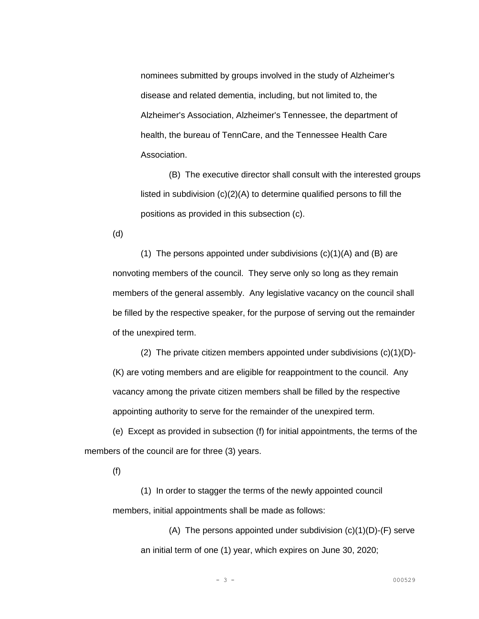nominees submitted by groups involved in the study of Alzheimer's disease and related dementia, including, but not limited to, the Alzheimer's Association, Alzheimer's Tennessee, the department of health, the bureau of TennCare, and the Tennessee Health Care Association.

(B) The executive director shall consult with the interested groups listed in subdivision (c)(2)(A) to determine qualified persons to fill the positions as provided in this subsection (c).

(d)

(1) The persons appointed under subdivisions  $(c)(1)(A)$  and  $(B)$  are nonvoting members of the council. They serve only so long as they remain members of the general assembly. Any legislative vacancy on the council shall be filled by the respective speaker, for the purpose of serving out the remainder of the unexpired term.

(2) The private citizen members appointed under subdivisions (c)(1)(D)- (K) are voting members and are eligible for reappointment to the council. Any vacancy among the private citizen members shall be filled by the respective appointing authority to serve for the remainder of the unexpired term.

(e) Except as provided in subsection (f) for initial appointments, the terms of the members of the council are for three (3) years.

(f)

(1) In order to stagger the terms of the newly appointed council members, initial appointments shall be made as follows:

> (A) The persons appointed under subdivision  $(c)(1)(D)$ -(F) serve an initial term of one (1) year, which expires on June 30, 2020;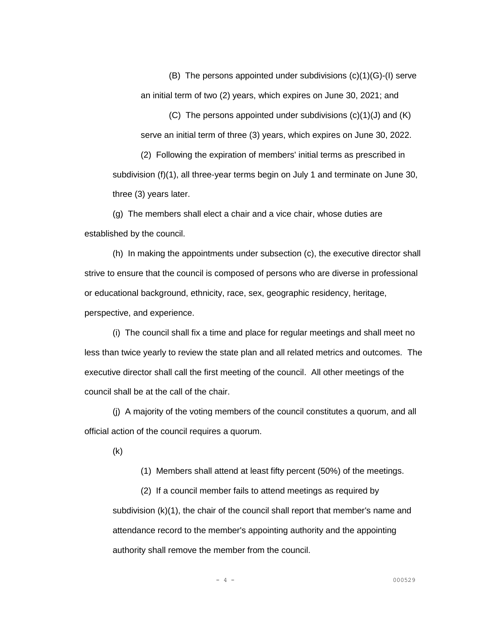(B) The persons appointed under subdivisions (c)(1)(G)-(I) serve an initial term of two (2) years, which expires on June 30, 2021; and

(C) The persons appointed under subdivisions (c)(1)(J) and (K) serve an initial term of three (3) years, which expires on June 30, 2022.

(2) Following the expiration of members' initial terms as prescribed in subdivision (f)(1), all three-year terms begin on July 1 and terminate on June 30, three (3) years later.

(g) The members shall elect a chair and a vice chair, whose duties are established by the council.

(h) In making the appointments under subsection (c), the executive director shall strive to ensure that the council is composed of persons who are diverse in professional or educational background, ethnicity, race, sex, geographic residency, heritage, perspective, and experience.

(i) The council shall fix a time and place for regular meetings and shall meet no less than twice yearly to review the state plan and all related metrics and outcomes. The executive director shall call the first meeting of the council. All other meetings of the council shall be at the call of the chair.

(j) A majority of the voting members of the council constitutes a quorum, and all official action of the council requires a quorum.

(k)

(1) Members shall attend at least fifty percent (50%) of the meetings.

(2) If a council member fails to attend meetings as required by subdivision (k)(1), the chair of the council shall report that member's name and attendance record to the member's appointing authority and the appointing authority shall remove the member from the council.

- 4 - 000529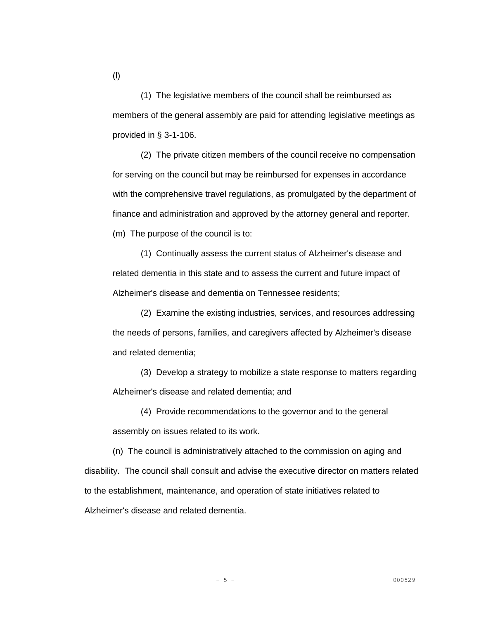(1) The legislative members of the council shall be reimbursed as members of the general assembly are paid for attending legislative meetings as provided in § 3-1-106.

(2) The private citizen members of the council receive no compensation for serving on the council but may be reimbursed for expenses in accordance with the comprehensive travel regulations, as promulgated by the department of finance and administration and approved by the attorney general and reporter. (m) The purpose of the council is to:

(1) Continually assess the current status of Alzheimer's disease and related dementia in this state and to assess the current and future impact of Alzheimer's disease and dementia on Tennessee residents;

(2) Examine the existing industries, services, and resources addressing the needs of persons, families, and caregivers affected by Alzheimer's disease and related dementia;

(3) Develop a strategy to mobilize a state response to matters regarding Alzheimer's disease and related dementia; and

(4) Provide recommendations to the governor and to the general assembly on issues related to its work.

(n) The council is administratively attached to the commission on aging and disability. The council shall consult and advise the executive director on matters related to the establishment, maintenance, and operation of state initiatives related to Alzheimer's disease and related dementia.

(l)